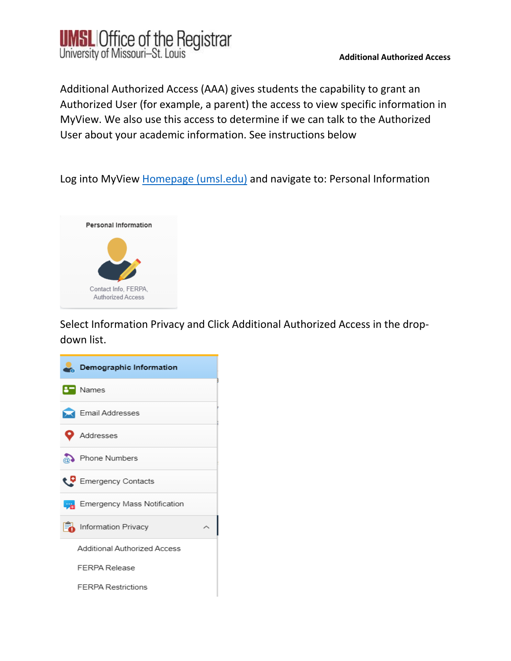

Additional Authorized Access (AAA) gives students the capability to grant an Authorized User (for example, a parent) the access to view specific information in MyView. We also use this access to determine if we can talk to the Authorized User about your academic information. See instructions below

Log into MyView [Homepage \(umsl.edu\)](https://myview-qa.umsl.edu/psc/csqas/EMPLOYEE/SA/c/NUI_FRAMEWORK.PT_LANDINGPAGE.GBL?&) and navigate to: Personal Information



Select Information Privacy and Click Additional Authorized Access in the dropdown list.

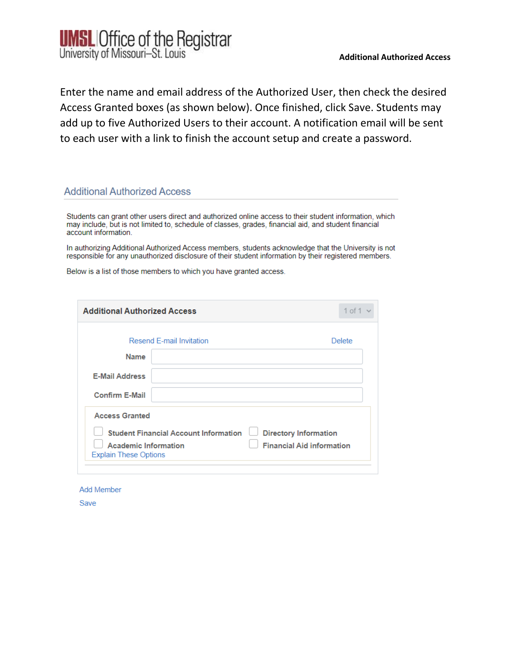

Enter the name and email address of the Authorized User, then check the desired Access Granted boxes (as shown below). Once finished, click Save. Students may add up to five Authorized Users to their account. A notification email will be sent to each user with a link to finish the account setup and create a password.

## **Additional Authorized Access**

Students can grant other users direct and authorized online access to their student information, which may include, but is not limited to, schedule of classes, grades, financial aid, and student financial account information.

In authorizing Additional Authorized Access members, students acknowledge that the University is not responsible for any unauthorized disclosure of their student information by their registered members.

Below is a list of those members to which you have granted access.

| <b>Additional Authorized Access</b>                         |                                              |                                                                  | $1$ of $1$ |
|-------------------------------------------------------------|----------------------------------------------|------------------------------------------------------------------|------------|
| Resend F-mail Invitation                                    |                                              | <b>Delete</b>                                                    |            |
| Name                                                        |                                              |                                                                  |            |
| <b>E-Mail Address</b>                                       |                                              |                                                                  |            |
| <b>Confirm E-Mail</b>                                       |                                              |                                                                  |            |
| <b>Access Granted</b>                                       |                                              |                                                                  |            |
| <b>Academic Information</b><br><b>Explain These Options</b> | <b>Student Financial Account Information</b> | <b>Directory Information</b><br><b>Financial Aid information</b> |            |

**Add Member** 

Save